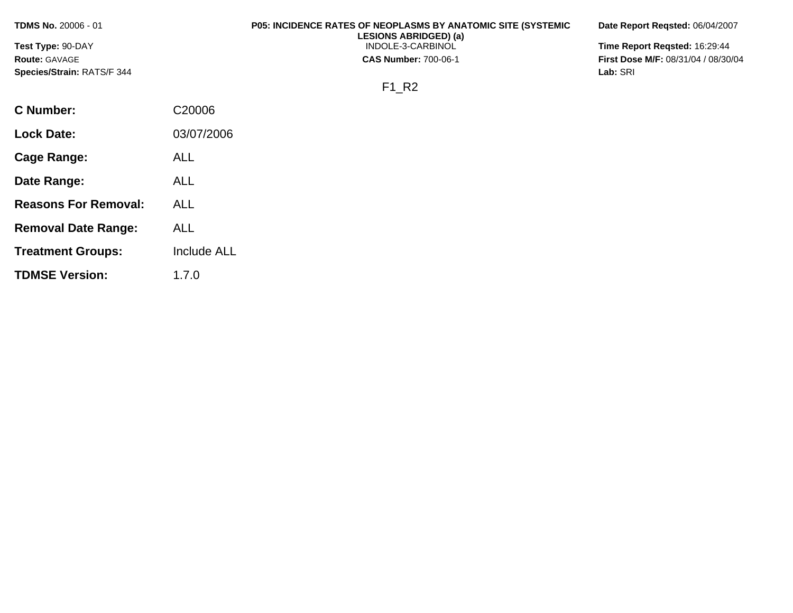**Test Type:** 90-DAY **Route:** GAVAGE **Species/Strain:** RATS/F 344

### **P05: INCIDENCE RATES OF NEOPLASMS BY ANATOMIC SITE (SYSTEMIC LESIONS ABRIDGED) (a)**

INDOLE-3-CARBINOL

**CAS Number:** 700-06-1

**Date Report Reqsted:** 06/04/2007

**Time Report Reqsted:** 16:29:44 **First Dose M/F:** 08/31/04 / 08/30/04 **Lab:** SRI

F1\_R2

| C Number:                   | C <sub>20006</sub> |
|-----------------------------|--------------------|
| Lock Date:                  | 03/07/2006         |
| Cage Range:                 | ALL                |
| Date Range:                 | AL L               |
| <b>Reasons For Removal:</b> | ALL                |
| <b>Removal Date Range:</b>  | ALL                |
| <b>Treatment Groups:</b>    | <b>Include ALL</b> |
| <b>TDMSE Version:</b>       | 1.7.0              |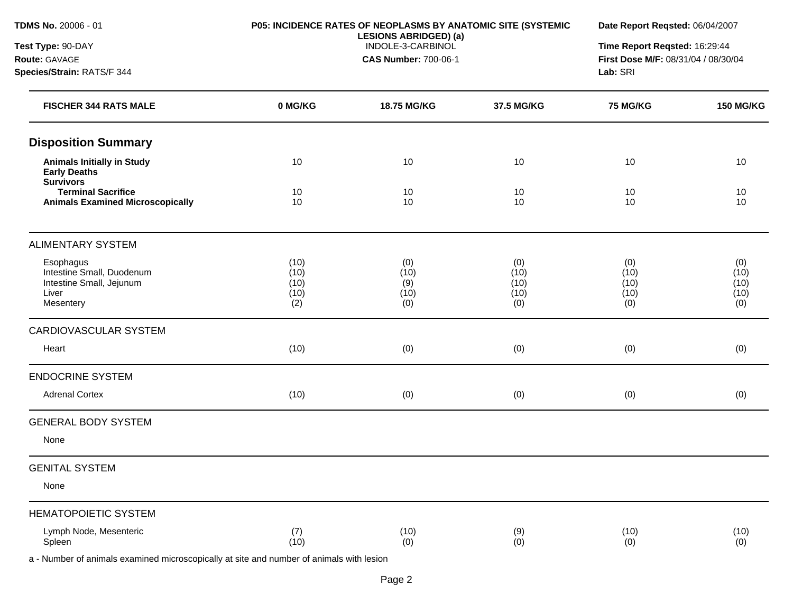**Species/Strain:** RATS/F 344

**Test Type:** 90-DAY **Route:** GAVAGE

# **P05: INCIDENCE RATES OF NEOPLASMS BY ANATOMIC SITE (SYSTEMIC**

INDOLE-3-CARBINOL **CAS Number:** 700-06-1

**LESIONS ABRIDGED) (a)** 

**Date Report Reqsted:** 06/04/2007

**Time Report Reqsted:** 16:29:44 **First Dose M/F:** 08/31/04 / 08/30/04 **Lab:** SRI

| <b>FISCHER 344 RATS MALE</b>                                                                                                                                                                                                                                          | 0 MG/KG                             | 18.75 MG/KG                       | 37.5 MG/KG                         | 75 MG/KG                           | <b>150 MG/KG</b>                   |
|-----------------------------------------------------------------------------------------------------------------------------------------------------------------------------------------------------------------------------------------------------------------------|-------------------------------------|-----------------------------------|------------------------------------|------------------------------------|------------------------------------|
| <b>Disposition Summary</b>                                                                                                                                                                                                                                            |                                     |                                   |                                    |                                    |                                    |
| <b>Animals Initially in Study</b><br><b>Early Deaths</b><br><b>Survivors</b>                                                                                                                                                                                          | 10                                  | 10                                | 10                                 | 10                                 | 10                                 |
| <b>Terminal Sacrifice</b><br><b>Animals Examined Microscopically</b>                                                                                                                                                                                                  | 10<br>10                            | 10<br>10                          | 10<br>10                           | 10<br>10                           | 10<br>10                           |
| <b>ALIMENTARY SYSTEM</b>                                                                                                                                                                                                                                              |                                     |                                   |                                    |                                    |                                    |
| Esophagus<br>Intestine Small, Duodenum<br>Intestine Small, Jejunum<br>Liver<br>Mesentery                                                                                                                                                                              | (10)<br>(10)<br>(10)<br>(10)<br>(2) | (0)<br>(10)<br>(9)<br>(10)<br>(0) | (0)<br>(10)<br>(10)<br>(10)<br>(0) | (0)<br>(10)<br>(10)<br>(10)<br>(0) | (0)<br>(10)<br>(10)<br>(10)<br>(0) |
| CARDIOVASCULAR SYSTEM                                                                                                                                                                                                                                                 |                                     |                                   |                                    |                                    |                                    |
| Heart                                                                                                                                                                                                                                                                 | (10)                                | (0)                               | (0)                                | (0)                                | (0)                                |
| <b>ENDOCRINE SYSTEM</b>                                                                                                                                                                                                                                               |                                     |                                   |                                    |                                    |                                    |
| <b>Adrenal Cortex</b>                                                                                                                                                                                                                                                 | (10)                                | (0)                               | (0)                                | (0)                                | (0)                                |
| <b>GENERAL BODY SYSTEM</b><br>None                                                                                                                                                                                                                                    |                                     |                                   |                                    |                                    |                                    |
| <b>GENITAL SYSTEM</b>                                                                                                                                                                                                                                                 |                                     |                                   |                                    |                                    |                                    |
| None                                                                                                                                                                                                                                                                  |                                     |                                   |                                    |                                    |                                    |
| <b>HEMATOPOIETIC SYSTEM</b>                                                                                                                                                                                                                                           |                                     |                                   |                                    |                                    |                                    |
| Lymph Node, Mesenteric<br>Spleen<br>$\mathbf{r}$ , and the state of the state of the state of the state of the state of the state of the state of the state of the state of the state of the state of the state of the state of the state of the state of the state o | (7)<br>(10)                         | (10)<br>(0)                       | (9)<br>(0)                         | (10)<br>(0)                        | (10)<br>(0)                        |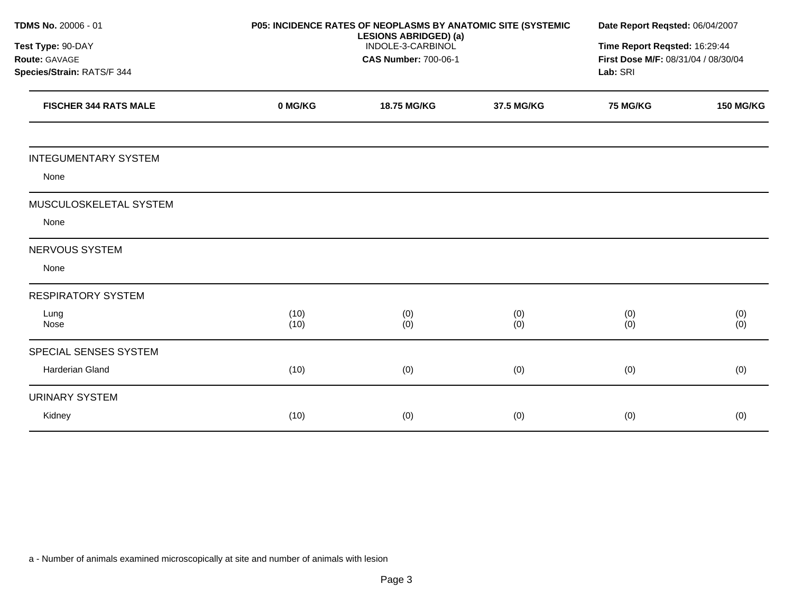| TDMS No. 20006 - 01          |              | P05: INCIDENCE RATES OF NEOPLASMS BY ANATOMIC SITE (SYSTEMIC |            | Date Report Reqsted: 06/04/2007     |                                                |
|------------------------------|--------------|--------------------------------------------------------------|------------|-------------------------------------|------------------------------------------------|
| Test Type: 90-DAY            |              | <b>LESIONS ABRIDGED) (a)</b><br>INDOLE-3-CARBINOL            |            |                                     | Time Report Reqsted: 16:29:44                  |
| Route: GAVAGE                |              | <b>CAS Number: 700-06-1</b>                                  |            | First Dose M/F: 08/31/04 / 08/30/04 |                                                |
| Species/Strain: RATS/F 344   |              |                                                              |            |                                     |                                                |
| <b>FISCHER 344 RATS MALE</b> | 0 MG/KG      | 18.75 MG/KG                                                  | 37.5 MG/KG | <b>75 MG/KG</b>                     | <b>150 MG/KG</b>                               |
| <b>INTEGUMENTARY SYSTEM</b>  |              |                                                              |            |                                     |                                                |
| None                         |              |                                                              |            |                                     |                                                |
| MUSCULOSKELETAL SYSTEM       |              |                                                              |            |                                     |                                                |
| None                         |              |                                                              |            |                                     |                                                |
| <b>NERVOUS SYSTEM</b>        |              |                                                              |            |                                     |                                                |
| None                         |              |                                                              |            |                                     |                                                |
| <b>RESPIRATORY SYSTEM</b>    |              |                                                              |            |                                     |                                                |
| Lung<br>Nose                 | (10)<br>(10) | (0)<br>(0)                                                   | (0)<br>(0) | (0)<br>(0)                          | $\begin{array}{c} (0) \ (0) \ (0) \end{array}$ |
| SPECIAL SENSES SYSTEM        |              |                                                              |            |                                     |                                                |
| Harderian Gland              | (10)         | (0)                                                          | (0)        | (0)                                 | (0)                                            |
| <b>URINARY SYSTEM</b>        |              |                                                              |            |                                     |                                                |
| Kidney                       | (10)         | (0)                                                          | (0)        | (0)                                 | (0)                                            |
|                              |              |                                                              |            |                                     |                                                |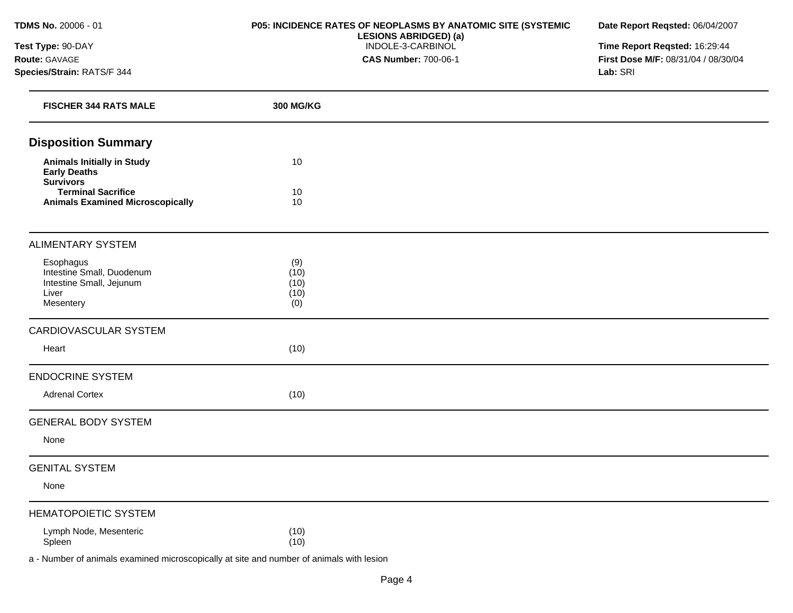**Test Type:** 90-DAY **Route:** GAVAGE **Species/Strain:** RATS/F 344

### **P05: INCIDENCE RATES OF NEOPLASMS BY ANATOMIC SITE (SYSTEMIC LESIONS ABRIDGED) (a)**  INDOLE-3-CARBINOL **CAS Number:** 700-06-1

**Date Report Reqsted:** 06/04/2007

**Time Report Reqsted:** 16:29:44 **First Dose M/F:** 08/31/04 / 08/30/04 **Lab:** SRI

| <b>FISCHER 344 RATS MALE</b>                                                             | <b>300 MG/KG</b>                   |  |
|------------------------------------------------------------------------------------------|------------------------------------|--|
| <b>Disposition Summary</b>                                                               |                                    |  |
| <b>Animals Initially in Study</b><br><b>Early Deaths</b>                                 | 10                                 |  |
| <b>Survivors</b><br><b>Terminal Sacrifice</b><br><b>Animals Examined Microscopically</b> | 10<br>10                           |  |
| <b>ALIMENTARY SYSTEM</b>                                                                 |                                    |  |
| Esophagus<br>Intestine Small, Duodenum<br>Intestine Small, Jejunum<br>Liver<br>Mesentery | (9)<br>(10)<br>(10)<br>(10)<br>(0) |  |
| CARDIOVASCULAR SYSTEM                                                                    |                                    |  |
| Heart                                                                                    | (10)                               |  |
| <b>ENDOCRINE SYSTEM</b>                                                                  |                                    |  |
| <b>Adrenal Cortex</b>                                                                    | (10)                               |  |
| <b>GENERAL BODY SYSTEM</b>                                                               |                                    |  |
| None                                                                                     |                                    |  |
| <b>GENITAL SYSTEM</b>                                                                    |                                    |  |
| None                                                                                     |                                    |  |
| <b>HEMATOPOIETIC SYSTEM</b>                                                              |                                    |  |
| Lymph Node, Mesenteric<br>Spleen<br>.<br>$\sim$ $\sim$ $\sim$ $\sim$ $\sim$              | (10)<br>(10)<br>.<br>$\sim$        |  |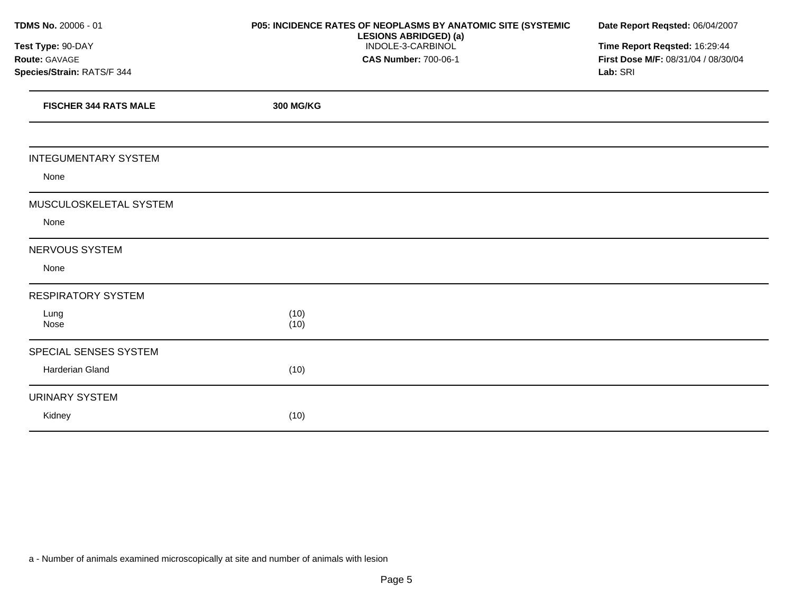| TDMS No. 20006 - 01          | P05: INCIDENCE RATES OF NEOPLASMS BY ANATOMIC SITE (SYSTEMIC<br><b>LESIONS ABRIDGED) (a)</b> | Date Report Reqsted: 06/04/2007<br>Time Report Reqsted: 16:29:44 |  |  |
|------------------------------|----------------------------------------------------------------------------------------------|------------------------------------------------------------------|--|--|
| Test Type: 90-DAY            | INDOLE-3-CARBINOL                                                                            |                                                                  |  |  |
| Route: GAVAGE                | <b>CAS Number: 700-06-1</b>                                                                  | First Dose M/F: 08/31/04 / 08/30/04                              |  |  |
| Species/Strain: RATS/F 344   |                                                                                              | Lab: SRI                                                         |  |  |
| <b>FISCHER 344 RATS MALE</b> | 300 MG/KG                                                                                    |                                                                  |  |  |
| <b>INTEGUMENTARY SYSTEM</b>  |                                                                                              |                                                                  |  |  |
| None                         |                                                                                              |                                                                  |  |  |
| MUSCULOSKELETAL SYSTEM       |                                                                                              |                                                                  |  |  |
| None                         |                                                                                              |                                                                  |  |  |
| NERVOUS SYSTEM               |                                                                                              |                                                                  |  |  |
| None                         |                                                                                              |                                                                  |  |  |
| <b>RESPIRATORY SYSTEM</b>    |                                                                                              |                                                                  |  |  |
| Lung<br>Nose                 | (10)<br>(10)                                                                                 |                                                                  |  |  |
| SPECIAL SENSES SYSTEM        |                                                                                              |                                                                  |  |  |
| Harderian Gland              | (10)                                                                                         |                                                                  |  |  |
| <b>URINARY SYSTEM</b>        |                                                                                              |                                                                  |  |  |
| Kidney                       | (10)                                                                                         |                                                                  |  |  |
|                              |                                                                                              |                                                                  |  |  |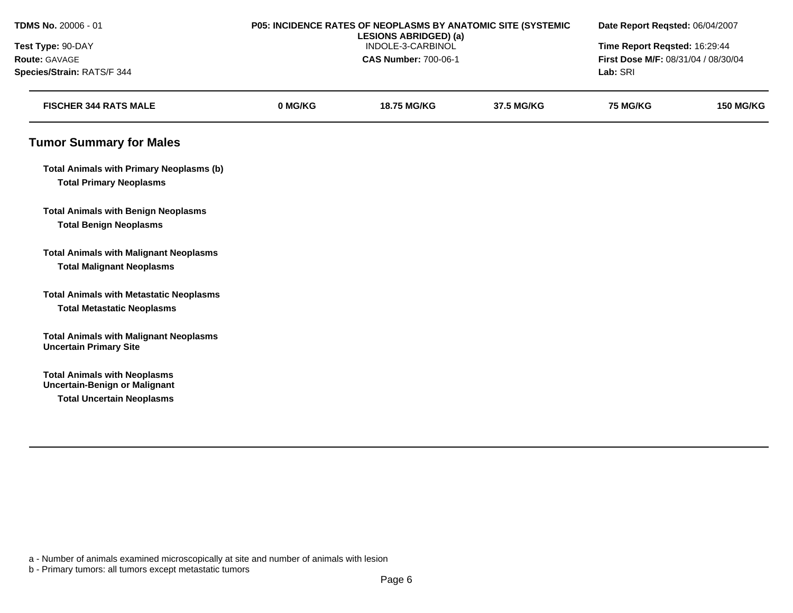| TDMS No. 20006 - 01                                                               |                   | P05: INCIDENCE RATES OF NEOPLASMS BY ANATOMIC SITE (SYSTEMIC<br><b>LESIONS ABRIDGED) (a)</b> |            |                                     | Date Report Reqsted: 06/04/2007 |  |
|-----------------------------------------------------------------------------------|-------------------|----------------------------------------------------------------------------------------------|------------|-------------------------------------|---------------------------------|--|
| Test Type: 90-DAY                                                                 | INDOLE-3-CARBINOL |                                                                                              |            | Time Report Reqsted: 16:29:44       |                                 |  |
| Route: GAVAGE                                                                     |                   | <b>CAS Number: 700-06-1</b>                                                                  |            | First Dose M/F: 08/31/04 / 08/30/04 |                                 |  |
| Species/Strain: RATS/F 344                                                        |                   |                                                                                              |            | Lab: SRI                            |                                 |  |
| <b>FISCHER 344 RATS MALE</b>                                                      | 0 MG/KG           | <b>18.75 MG/KG</b>                                                                           | 37.5 MG/KG | <b>75 MG/KG</b>                     | <b>150 MG/KG</b>                |  |
| <b>Tumor Summary for Males</b>                                                    |                   |                                                                                              |            |                                     |                                 |  |
| <b>Total Animals with Primary Neoplasms (b)</b><br><b>Total Primary Neoplasms</b> |                   |                                                                                              |            |                                     |                                 |  |
| <b>Total Animals with Benign Neoplasms</b>                                        |                   |                                                                                              |            |                                     |                                 |  |
| <b>Total Benign Neoplasms</b>                                                     |                   |                                                                                              |            |                                     |                                 |  |
| <b>Total Animals with Malignant Neoplasms</b>                                     |                   |                                                                                              |            |                                     |                                 |  |
| <b>Total Malignant Neoplasms</b>                                                  |                   |                                                                                              |            |                                     |                                 |  |
| <b>Total Animals with Metastatic Neoplasms</b>                                    |                   |                                                                                              |            |                                     |                                 |  |
| <b>Total Metastatic Neoplasms</b>                                                 |                   |                                                                                              |            |                                     |                                 |  |
| <b>Total Animals with Malignant Neoplasms</b><br><b>Uncertain Primary Site</b>    |                   |                                                                                              |            |                                     |                                 |  |
| <b>Total Animals with Neoplasms</b><br><b>Uncertain-Benign or Malignant</b>       |                   |                                                                                              |            |                                     |                                 |  |
| <b>Total Uncertain Neoplasms</b>                                                  |                   |                                                                                              |            |                                     |                                 |  |
|                                                                                   |                   |                                                                                              |            |                                     |                                 |  |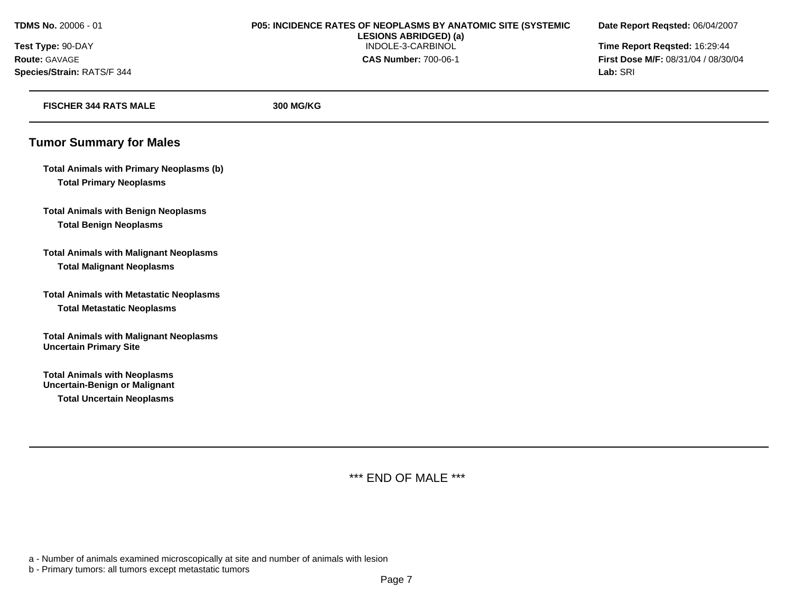**Species/Strain:** RATS/F 344 **Lab:** SRI

### **TDMS No.** 20006 - 01 **P05: INCIDENCE RATES OF NEOPLASMS BY ANATOMIC SITE (SYSTEMIC Date Report Reqsted:** 06/04/2007 **LESIONS ABRIDGED) (a) Test Type:** 90-DAY INDOLE-3-CARBINOL **Time Report Reqsted:** 16:29:44 **Route:** GAVAGE **CAS Number:** 700-06-1 **First Dose M/F:** 08/31/04 / 08/30/04

| <b>FISCHER 344 RATS MALE</b>                                                                                    | <b>300 MG/KG</b> |  |
|-----------------------------------------------------------------------------------------------------------------|------------------|--|
| <b>Tumor Summary for Males</b>                                                                                  |                  |  |
| <b>Total Animals with Primary Neoplasms (b)</b><br><b>Total Primary Neoplasms</b>                               |                  |  |
| <b>Total Animals with Benign Neoplasms</b><br><b>Total Benign Neoplasms</b>                                     |                  |  |
| <b>Total Animals with Malignant Neoplasms</b><br><b>Total Malignant Neoplasms</b>                               |                  |  |
| <b>Total Animals with Metastatic Neoplasms</b><br><b>Total Metastatic Neoplasms</b>                             |                  |  |
| <b>Total Animals with Malignant Neoplasms</b><br><b>Uncertain Primary Site</b>                                  |                  |  |
| <b>Total Animals with Neoplasms</b><br><b>Uncertain-Benign or Malignant</b><br><b>Total Uncertain Neoplasms</b> |                  |  |
|                                                                                                                 |                  |  |

\*\*\* END OF MALE \*\*\*

a - Number of animals examined microscopically at site and number of animals with lesion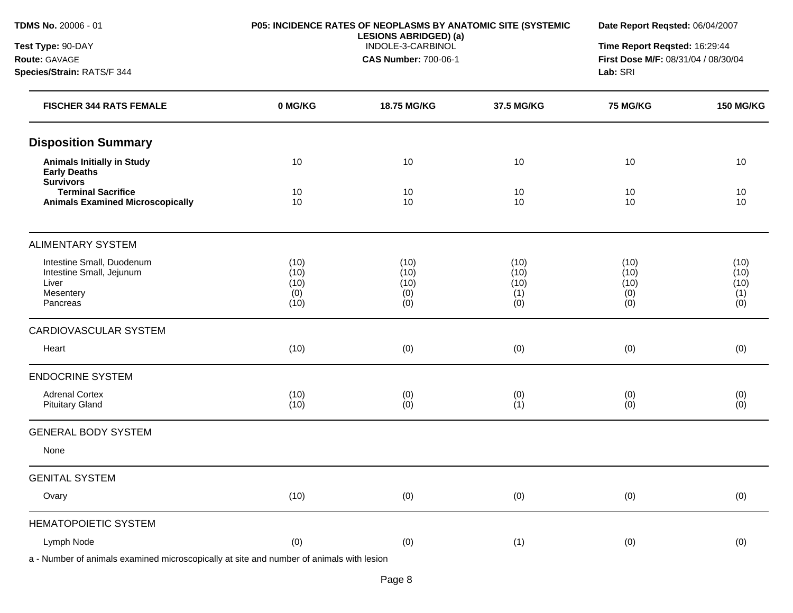## **Test Type:** 90-DAY **Route:** GAVAGE

**Species/Strain:** RATS/F 344

#### **P05: INCIDENCE RATES OF NEOPLASMS BY ANATOMIC SITE (SYSTEMIC LESIONS ABRIDGED) (a)**  INDOLE-3-CARBINOL

**CAS Number:** 700-06-1

**Date Report Reqsted:** 06/04/2007

**Time Report Reqsted:** 16:29:44 **First Dose M/F:** 08/31/04 / 08/30/04 **Lab:** SRI

| <b>FISCHER 344 RATS FEMALE</b>                                                          | 0 MG/KG                             | 18.75 MG/KG                        | 37.5 MG/KG                         | <b>75 MG/KG</b>                    | <b>150 MG/KG</b>                   |
|-----------------------------------------------------------------------------------------|-------------------------------------|------------------------------------|------------------------------------|------------------------------------|------------------------------------|
| <b>Disposition Summary</b>                                                              |                                     |                                    |                                    |                                    |                                    |
| <b>Animals Initially in Study</b><br><b>Early Deaths</b><br><b>Survivors</b>            | 10                                  | 10                                 | 10                                 | 10                                 | 10                                 |
| <b>Terminal Sacrifice</b><br><b>Animals Examined Microscopically</b>                    | 10<br>10                            | 10<br>10                           | 10<br>10                           | 10<br>10                           | 10<br>10                           |
| <b>ALIMENTARY SYSTEM</b>                                                                |                                     |                                    |                                    |                                    |                                    |
| Intestine Small, Duodenum<br>Intestine Small, Jejunum<br>Liver<br>Mesentery<br>Pancreas | (10)<br>(10)<br>(10)<br>(0)<br>(10) | (10)<br>(10)<br>(10)<br>(0)<br>(0) | (10)<br>(10)<br>(10)<br>(1)<br>(0) | (10)<br>(10)<br>(10)<br>(0)<br>(0) | (10)<br>(10)<br>(10)<br>(1)<br>(0) |
| CARDIOVASCULAR SYSTEM                                                                   |                                     |                                    |                                    |                                    |                                    |
| Heart                                                                                   | (10)                                | (0)                                | (0)                                | (0)                                | (0)                                |
| <b>ENDOCRINE SYSTEM</b>                                                                 |                                     |                                    |                                    |                                    |                                    |
| <b>Adrenal Cortex</b><br><b>Pituitary Gland</b>                                         | (10)<br>(10)                        | (0)<br>(0)                         | (0)<br>(1)                         | (0)<br>(0)                         | (0)<br>(0)                         |
| <b>GENERAL BODY SYSTEM</b>                                                              |                                     |                                    |                                    |                                    |                                    |
| None                                                                                    |                                     |                                    |                                    |                                    |                                    |
| <b>GENITAL SYSTEM</b>                                                                   |                                     |                                    |                                    |                                    |                                    |
| Ovary                                                                                   | (10)                                | (0)                                | (0)                                | (0)                                | (0)                                |
| <b>HEMATOPOIETIC SYSTEM</b>                                                             |                                     |                                    |                                    |                                    |                                    |
| Lymph Node                                                                              | (0)                                 | (0)                                | (1)                                | (0)                                | (0)                                |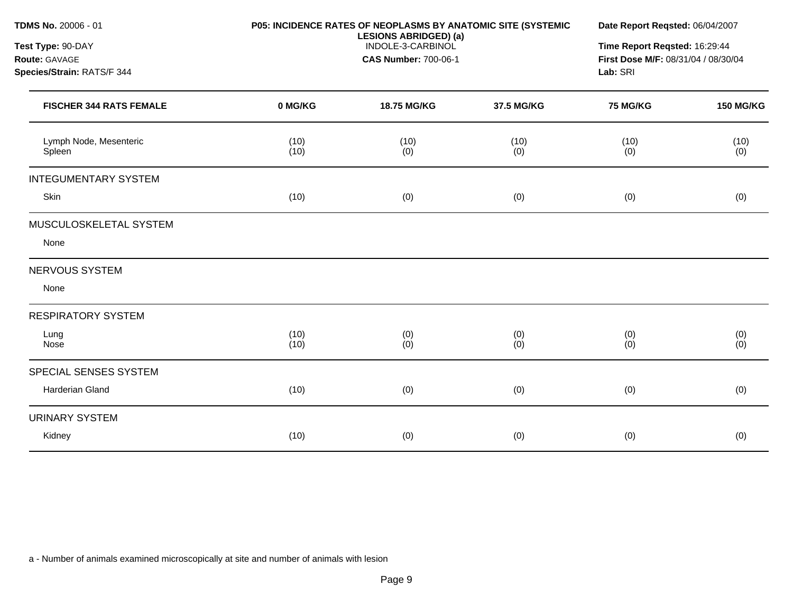| <b>TDMS No. 20006 - 01</b>       |              | <b>P05: INCIDENCE RATES OF NEOPLASMS BY ANATOMIC SITE (SYSTEMIC</b><br><b>LESIONS ABRIDGED) (a)</b><br>INDOLE-3-CARBINOL |             |                                     | Date Report Regsted: 06/04/2007 |  |
|----------------------------------|--------------|--------------------------------------------------------------------------------------------------------------------------|-------------|-------------------------------------|---------------------------------|--|
| Test Type: 90-DAY                |              |                                                                                                                          |             |                                     | Time Report Reqsted: 16:29:44   |  |
| Route: GAVAGE                    |              | <b>CAS Number: 700-06-1</b>                                                                                              |             | First Dose M/F: 08/31/04 / 08/30/04 |                                 |  |
| Species/Strain: RATS/F 344       |              |                                                                                                                          |             |                                     | Lab: SRI                        |  |
| <b>FISCHER 344 RATS FEMALE</b>   | 0 MG/KG      | 18.75 MG/KG                                                                                                              | 37.5 MG/KG  | <b>75 MG/KG</b>                     | <b>150 MG/KG</b>                |  |
| Lymph Node, Mesenteric<br>Spleen | (10)<br>(10) | (10)<br>(0)                                                                                                              | (10)<br>(0) | (10)<br>(0)                         | (10)<br>(0)                     |  |
| <b>INTEGUMENTARY SYSTEM</b>      |              |                                                                                                                          |             |                                     |                                 |  |
| Skin                             | (10)         | (0)                                                                                                                      | (0)         | (0)                                 | (0)                             |  |
| MUSCULOSKELETAL SYSTEM           |              |                                                                                                                          |             |                                     |                                 |  |
| None                             |              |                                                                                                                          |             |                                     |                                 |  |
| NERVOUS SYSTEM                   |              |                                                                                                                          |             |                                     |                                 |  |
| None                             |              |                                                                                                                          |             |                                     |                                 |  |
| <b>RESPIRATORY SYSTEM</b>        |              |                                                                                                                          |             |                                     |                                 |  |
| Lung<br>Nose                     | (10)<br>(10) | (0)<br>(0)                                                                                                               | (0)<br>(0)  | (0)<br>(0)                          | (0)<br>(0)                      |  |
| SPECIAL SENSES SYSTEM            |              |                                                                                                                          |             |                                     |                                 |  |
| Harderian Gland                  | (10)         | (0)                                                                                                                      | (0)         | (0)                                 | (0)                             |  |
| <b>URINARY SYSTEM</b>            |              |                                                                                                                          |             |                                     |                                 |  |
| Kidney                           | (10)         | (0)                                                                                                                      | (0)         | (0)                                 | (0)                             |  |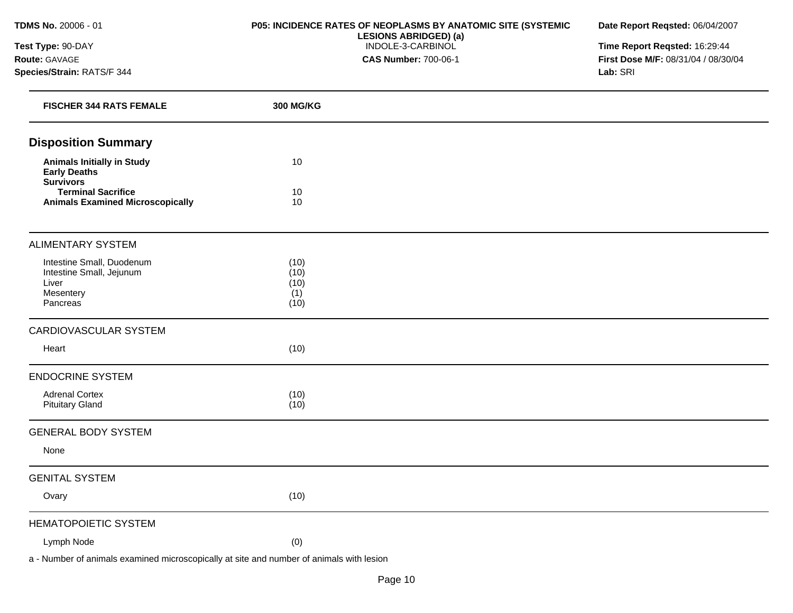**Test Type:** 90-DAY **Route:** GAVAGE **Species/Strain:** RATS/F 344

### **P05: INCIDENCE RATES OF NEOPLASMS BY ANATOMIC SITE (SYSTEMIC LESIONS ABRIDGED) (a)**  INDOLE-3-CARBINOL **CAS Number:** 700-06-1

**Date Report Reqsted:** 06/04/2007

**Time Report Reqsted:** 16:29:44 **First Dose M/F:** 08/31/04 / 08/30/04 **Lab:** SRI

| <b>FISCHER 344 RATS FEMALE</b>                                                          | <b>300 MG/KG</b>                    |  |
|-----------------------------------------------------------------------------------------|-------------------------------------|--|
| <b>Disposition Summary</b>                                                              |                                     |  |
| <b>Animals Initially in Study</b><br><b>Early Deaths</b><br><b>Survivors</b>            | 10                                  |  |
| <b>Terminal Sacrifice</b><br><b>Animals Examined Microscopically</b>                    | 10<br>10                            |  |
| <b>ALIMENTARY SYSTEM</b>                                                                |                                     |  |
| Intestine Small, Duodenum<br>Intestine Small, Jejunum<br>Liver<br>Mesentery<br>Pancreas | (10)<br>(10)<br>(10)<br>(1)<br>(10) |  |
| <b>CARDIOVASCULAR SYSTEM</b>                                                            |                                     |  |
| Heart                                                                                   | (10)                                |  |
| <b>ENDOCRINE SYSTEM</b>                                                                 |                                     |  |
| <b>Adrenal Cortex</b><br><b>Pituitary Gland</b>                                         | (10)<br>(10)                        |  |
| <b>GENERAL BODY SYSTEM</b>                                                              |                                     |  |
| None                                                                                    |                                     |  |
| <b>GENITAL SYSTEM</b>                                                                   |                                     |  |
| Ovary                                                                                   | (10)                                |  |
| <b>HEMATOPOIETIC SYSTEM</b>                                                             |                                     |  |
| Lymph Node                                                                              | (0)                                 |  |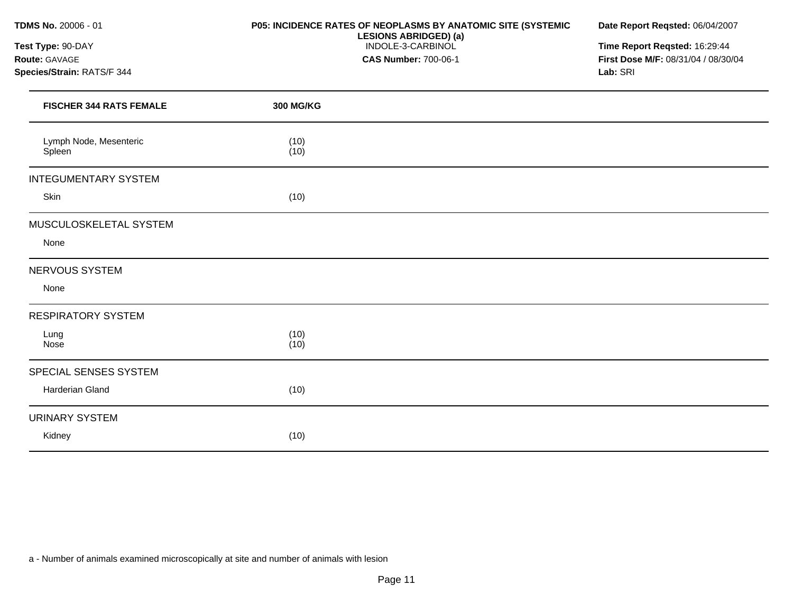**Test Type:** 90-DAY **Route:** GAVAGE **Species/Strain:** RATS/F 344

### **P05: INCIDENCE RATES OF NEOPLASMS BY ANATOMIC SITE (SYSTEMIC LESIONS ABRIDGED) (a)**  INDOLE-3-CARBINOL **CAS Number:** 700-06-1

**Date Report Reqsted:** 06/04/2007

**Time Report Reqsted:** 16:29:44 **First Dose M/F:** 08/31/04 / 08/30/04 **Lab:** SRI

| <b>FISCHER 344 RATS FEMALE</b>   | 300 MG/KG    |  |
|----------------------------------|--------------|--|
| Lymph Node, Mesenteric<br>Spleen | (10)<br>(10) |  |
| <b>INTEGUMENTARY SYSTEM</b>      |              |  |
| Skin                             | (10)         |  |
| MUSCULOSKELETAL SYSTEM           |              |  |
| None                             |              |  |
| NERVOUS SYSTEM                   |              |  |
| None                             |              |  |
| <b>RESPIRATORY SYSTEM</b>        |              |  |
| Lung<br>Nose                     | (10)<br>(10) |  |
| SPECIAL SENSES SYSTEM            |              |  |
| Harderian Gland                  | (10)         |  |
| <b>URINARY SYSTEM</b>            |              |  |
| Kidney                           | (10)         |  |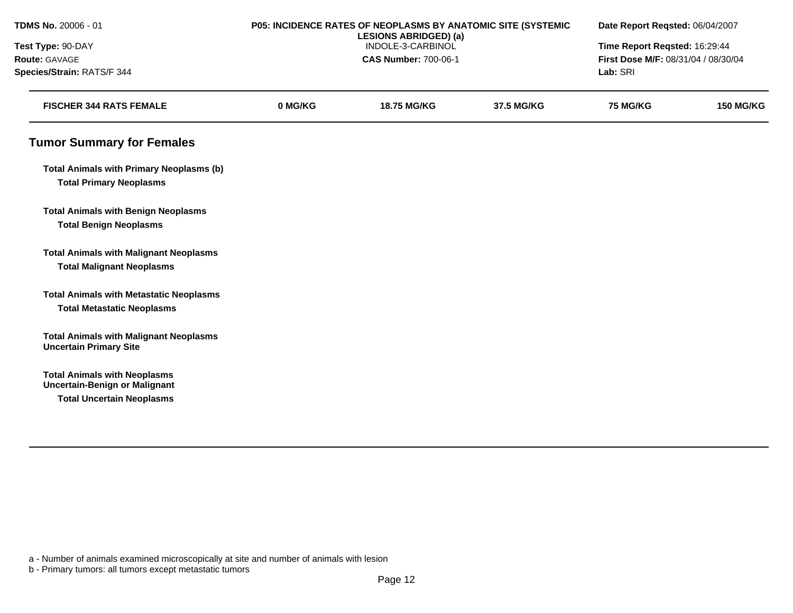| TDMS No. 20006 - 01                                                            | P05: INCIDENCE RATES OF NEOPLASMS BY ANATOMIC SITE (SYSTEMIC<br><b>LESIONS ABRIDGED) (a)</b><br>INDOLE-3-CARBINOL |                             |            | Date Report Reqsted: 06/04/2007     |                  |
|--------------------------------------------------------------------------------|-------------------------------------------------------------------------------------------------------------------|-----------------------------|------------|-------------------------------------|------------------|
| Test Type: 90-DAY                                                              |                                                                                                                   |                             |            | Time Report Reqsted: 16:29:44       |                  |
| Route: GAVAGE                                                                  |                                                                                                                   | <b>CAS Number: 700-06-1</b> |            | First Dose M/F: 08/31/04 / 08/30/04 |                  |
| Species/Strain: RATS/F 344                                                     |                                                                                                                   |                             |            | Lab: SRI                            |                  |
| <b>FISCHER 344 RATS FEMALE</b>                                                 | 0 MG/KG                                                                                                           | <b>18.75 MG/KG</b>          | 37.5 MG/KG | <b>75 MG/KG</b>                     | <b>150 MG/KG</b> |
| <b>Tumor Summary for Females</b>                                               |                                                                                                                   |                             |            |                                     |                  |
| <b>Total Animals with Primary Neoplasms (b)</b>                                |                                                                                                                   |                             |            |                                     |                  |
| <b>Total Primary Neoplasms</b>                                                 |                                                                                                                   |                             |            |                                     |                  |
| <b>Total Animals with Benign Neoplasms</b>                                     |                                                                                                                   |                             |            |                                     |                  |
| <b>Total Benign Neoplasms</b>                                                  |                                                                                                                   |                             |            |                                     |                  |
| <b>Total Animals with Malignant Neoplasms</b>                                  |                                                                                                                   |                             |            |                                     |                  |
| <b>Total Malignant Neoplasms</b>                                               |                                                                                                                   |                             |            |                                     |                  |
| <b>Total Animals with Metastatic Neoplasms</b>                                 |                                                                                                                   |                             |            |                                     |                  |
| <b>Total Metastatic Neoplasms</b>                                              |                                                                                                                   |                             |            |                                     |                  |
| <b>Total Animals with Malignant Neoplasms</b><br><b>Uncertain Primary Site</b> |                                                                                                                   |                             |            |                                     |                  |
| <b>Total Animals with Neoplasms</b><br><b>Uncertain-Benign or Malignant</b>    |                                                                                                                   |                             |            |                                     |                  |
| <b>Total Uncertain Neoplasms</b>                                               |                                                                                                                   |                             |            |                                     |                  |